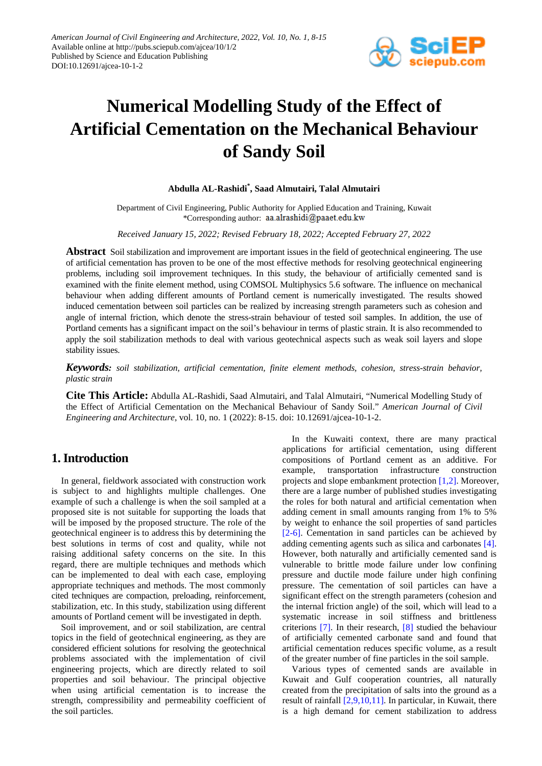

# **Numerical Modelling Study of the Effect of Artificial Cementation on the Mechanical Behaviour of Sandy Soil**

## **Abdulla AL-Rashidi\* , Saad Almutairi, Talal Almutairi**

Department of Civil Engineering, Public Authority for Applied Education and Training, Kuwait \*Corresponding author: aa.alrashidi@paaet.edu.kw

*Received January 15, 2022; Revised February 18, 2022; Accepted February 27, 2022*

**Abstract** Soil stabilization and improvement are important issues in the field of geotechnical engineering. The use of artificial cementation has proven to be one of the most effective methods for resolving geotechnical engineering problems, including soil improvement techniques. In this study, the behaviour of artificially cemented sand is examined with the finite element method, using COMSOL Multiphysics 5.6 software. The influence on mechanical behaviour when adding different amounts of Portland cement is numerically investigated. The results showed induced cementation between soil particles can be realized by increasing strength parameters such as cohesion and angle of internal friction, which denote the stress-strain behaviour of tested soil samples. In addition, the use of Portland cements has a significant impact on the soil's behaviour in terms of plastic strain. It is also recommended to apply the soil stabilization methods to deal with various geotechnical aspects such as weak soil layers and slope stability issues.

*Keywords: soil stabilization, artificial cementation, finite element methods, cohesion, stress-strain behavior, plastic strain*

**Cite This Article:** Abdulla AL-Rashidi, Saad Almutairi, and Talal Almutairi, "Numerical Modelling Study of the Effect of Artificial Cementation on the Mechanical Behaviour of Sandy Soil." *American Journal of Civil Engineering and Architecture*, vol. 10, no. 1 (2022): 8-15. doi: 10.12691/ajcea-10-1-2.

## **1. Introduction**

In general, fieldwork associated with construction work is subject to and highlights multiple challenges. One example of such a challenge is when the soil sampled at a proposed site is not suitable for supporting the loads that will be imposed by the proposed structure. The role of the geotechnical engineer is to address this by determining the best solutions in terms of cost and quality, while not raising additional safety concerns on the site. In this regard, there are multiple techniques and methods which can be implemented to deal with each case, employing appropriate techniques and methods. The most commonly cited techniques are compaction, preloading, reinforcement, stabilization, etc. In this study, stabilization using different amounts of Portland cement will be investigated in depth.

Soil improvement, and or soil stabilization, are central topics in the field of geotechnical engineering, as they are considered efficient solutions for resolving the geotechnical problems associated with the implementation of civil engineering projects, which are directly related to soil properties and soil behaviour. The principal objective when using artificial cementation is to increase the strength, compressibility and permeability coefficient of the soil particles.

In the Kuwaiti context, there are many practical applications for artificial cementation, using different compositions of Portland cement as an additive. For example, transportation infrastructure construction projects and slope embankment protection [\[1,2\].](#page-7-0) Moreover, there are a large number of published studies investigating the roles for both natural and artificial cementation when adding cement in small amounts ranging from 1% to 5% by weight to enhance the soil properties of sand particles [\[2-6\].](#page-7-1) Cementation in sand particles can be achieved by adding cementing agents such as silica and carbonates [\[4\].](#page-7-2) However, both naturally and artificially cemented sand is vulnerable to brittle mode failure under low confining pressure and ductile mode failure under high confining pressure. The cementation of soil particles can have a significant effect on the strength parameters (cohesion and the internal friction angle) of the soil, which will lead to a systematic increase in soil stiffness and brittleness criterions [\[7\].](#page-7-3) In their research, [\[8\]](#page-7-4) studied the behaviour of artificially cemented carbonate sand and found that artificial cementation reduces specific volume, as a result of the greater number of fine particles in the soil sample.

Various types of cemented sands are available in Kuwait and Gulf cooperation countries, all naturally created from the precipitation of salts into the ground as a result of rainfall [\[2,9,10,11\].](#page-7-1) In particular, in Kuwait, there is a high demand for cement stabilization to address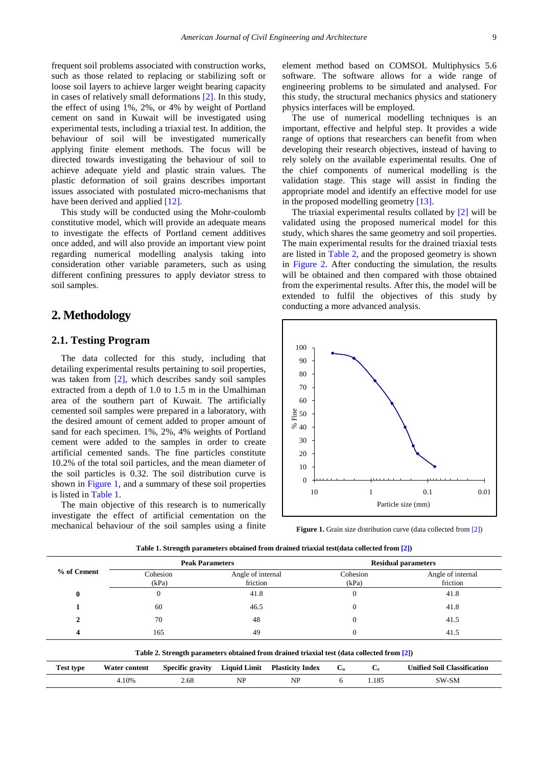frequent soil problems associated with construction works, such as those related to replacing or stabilizing soft or loose soil layers to achieve larger weight bearing capacity in cases of relatively small deformations [\[2\].](#page-7-1) In this study, the effect of using 1%, 2%, or 4% by weight of Portland cement on sand in Kuwait will be investigated using experimental tests, including a triaxial test. In addition, the behaviour of soil will be investigated numerically applying finite element methods. The focus will be directed towards investigating the behaviour of soil to achieve adequate yield and plastic strain values. The plastic deformation of soil grains describes important issues associated with postulated micro-mechanisms that have been derived and applied [\[12\].](#page-7-5)

This study will be conducted using the Mohr-coulomb constitutive model, which will provide an adequate means to investigate the effects of Portland cement additives once added, and will also provide an important view point regarding numerical modelling analysis taking into consideration other variable parameters, such as using different confining pressures to apply deviator stress to soil samples.

## **2. Methodology**

## **2.1. Testing Program**

The data collected for this study, including that detailing experimental results pertaining to soil properties, was taken from [\[2\],](#page-7-1) which describes sandy soil samples extracted from a depth of 1.0 to 1.5 m in the Umalhiman area of the southern part of Kuwait. The artificially cemented soil samples were prepared in a laboratory, with the desired amount of cement added to proper amount of sand for each specimen. 1%, 2%, 4% weights of Portland cement were added to the samples in order to create artificial cemented sands. The fine particles constitute 10.2% of the total soil particles, and the mean diameter of the soil particles is 0.32. The soil distribution curve is shown in [Figure 1,](#page-1-0) and a summary of these soil properties is listed in [Table 1.](#page-1-1)

The main objective of this research is to numerically investigate the effect of artificial cementation on the mechanical behaviour of the soil samples using a finite element method based on COMSOL Multiphysics 5.6 software. The software allows for a wide range of engineering problems to be simulated and analysed. For this study, the structural mechanics physics and stationery physics interfaces will be employed.

The use of numerical modelling techniques is an important, effective and helpful step. It provides a wide range of options that researchers can benefit from when developing their research objectives, instead of having to rely solely on the available experimental results. One of the chief components of numerical modelling is the validation stage. This stage will assist in finding the appropriate model and identify an effective model for use in the proposed modelling geometr[y \[13\].](#page-7-6) 

The triaxial experimental results collated by [\[2\]](#page-7-1) will be validated using the proposed numerical model for this study, which shares the same geometry and soil properties. The main experimental results for the drained triaxial tests are listed in [Table 2,](#page-1-2) and the proposed geometry is shown in [Figure 2.](#page-2-0) After conducting the simulation, the results will be obtained and then compared with those obtained from the experimental results. After this, the model will be extended to fulfil the objectives of this study by conducting a more advanced analysis.

<span id="page-1-0"></span>

**Figure 1.** Grain size distribution curve (data collected fro[m \[2\]\)](#page-7-1)

<span id="page-1-2"></span><span id="page-1-1"></span>

|                                                                                            | <b>Peak Parameters</b> |                         |                               |                         | <b>Residual parameters</b> |             |                                    |
|--------------------------------------------------------------------------------------------|------------------------|-------------------------|-------------------------------|-------------------------|----------------------------|-------------|------------------------------------|
| % of Cement                                                                                | Cohesion<br>(kPa)      |                         | Angle of internal<br>friction |                         | Cohesion<br>(kPa)          |             | Angle of internal<br>friction      |
| $\bf{0}$                                                                                   | $\theta$               |                         | 41.8                          |                         | $\theta$                   |             | 41.8                               |
|                                                                                            | 60                     |                         | 46.5                          |                         | 0                          |             | 41.8                               |
| 2                                                                                          | 70                     |                         | 48                            |                         | 0                          |             | 41.5                               |
| 4                                                                                          | 165                    |                         | 49                            |                         | $\Omega$                   |             | 41.5                               |
| Table 2. Strength parameters obtained from drained triaxial test (data collected from [2]) |                        |                         |                               |                         |                            |             |                                    |
| <b>Test type</b>                                                                           | <b>Water content</b>   | <b>Specific gravity</b> | <b>Liquid Limit</b>           | <b>Plasticity Index</b> | $C_{\rm u}$                | $C_{\rm z}$ | <b>Unified Soil Classification</b> |
|                                                                                            | 4.10%                  | 2.68                    | NP                            | NP                      | 6                          | 1.185       | SW-SM                              |

**Table 1. Strength parameters obtained from drained triaxial test(data collected from [\[2\]\)](#page-7-1)**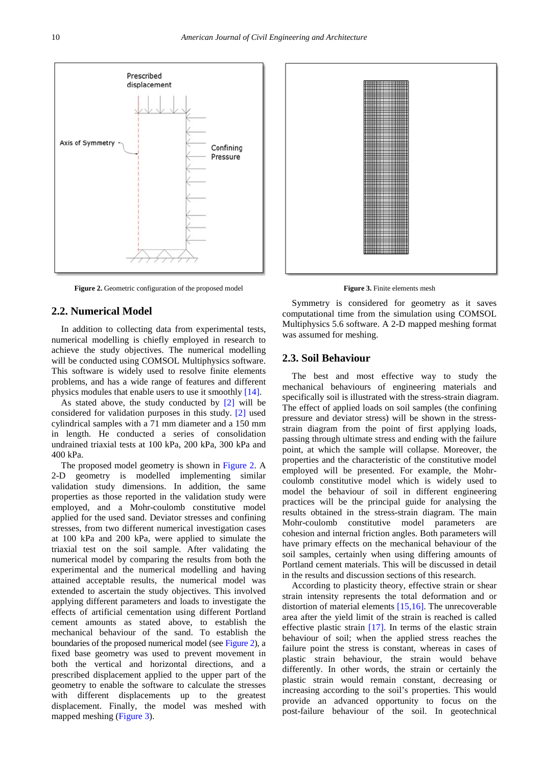<span id="page-2-0"></span>Prescribed displacement Axis of Symmetry Confining Pressure

Figure 2. Geometric configuration of the proposed model

#### **2.2. Numerical Model**

In addition to collecting data from experimental tests, numerical modelling is chiefly employed in research to achieve the study objectives. The numerical modelling will be conducted using COMSOL Multiphysics software. This software is widely used to resolve finite elements problems, and has a wide range of features and different physics modules that enable users to use it smoothl[y \[14\].](#page-7-7)

As stated above, the study conducted by  $[2]$  will be considered for validation purposes in this study. [\[2\]](#page-7-1) used cylindrical samples with a 71 mm diameter and a 150 mm in length. He conducted a series of consolidation undrained triaxial tests at 100 kPa, 200 kPa, 300 kPa and 400 kPa.

The proposed model geometry is shown in [Figure 2.](#page-2-0) A 2-D geometry is modelled implementing similar validation study dimensions. In addition, the same properties as those reported in the validation study were employed, and a Mohr-coulomb constitutive model applied for the used sand. Deviator stresses and confining stresses, from two different numerical investigation cases at 100 kPa and 200 kPa, were applied to simulate the triaxial test on the soil sample. After validating the numerical model by comparing the results from both the experimental and the numerical modelling and having attained acceptable results, the numerical model was extended to ascertain the study objectives. This involved applying different parameters and loads to investigate the effects of artificial cementation using different Portland cement amounts as stated above, to establish the mechanical behaviour of the sand. To establish the boundaries of the proposed numerical model (se[e Figure 2\)](#page-2-0), a fixed base geometry was used to prevent movement in both the vertical and horizontal directions, and a prescribed displacement applied to the upper part of the geometry to enable the software to calculate the stresses with different displacements up to the greatest displacement. Finally, the model was meshed with mapped meshing [\(Figure 3\)](#page-2-1).

<span id="page-2-1"></span>

**Figure 3.** Finite elements mesh

Symmetry is considered for geometry as it saves computational time from the simulation using COMSOL Multiphysics 5.6 software. A 2-D mapped meshing format was assumed for meshing.

## **2.3. Soil Behaviour**

The best and most effective way to study the mechanical behaviours of engineering materials and specifically soil is illustrated with the stress-strain diagram. The effect of applied loads on soil samples (the confining pressure and deviator stress) will be shown in the stressstrain diagram from the point of first applying loads, passing through ultimate stress and ending with the failure point, at which the sample will collapse. Moreover, the properties and the characteristic of the constitutive model employed will be presented. For example, the Mohrcoulomb constitutive model which is widely used to model the behaviour of soil in different engineering practices will be the principal guide for analysing the results obtained in the stress-strain diagram. The main Mohr-coulomb constitutive model parameters are cohesion and internal friction angles. Both parameters will have primary effects on the mechanical behaviour of the soil samples, certainly when using differing amounts of Portland cement materials. This will be discussed in detail in the results and discussion sections of this research.

According to plasticity theory, effective strain or shear strain intensity represents the total deformation and or distortion of material elements [\[15,16\].](#page-7-8) The unrecoverable area after the yield limit of the strain is reached is called effective plastic strain [\[17\].](#page-7-9) In terms of the elastic strain behaviour of soil; when the applied stress reaches the failure point the stress is constant, whereas in cases of plastic strain behaviour, the strain would behave differently. In other words, the strain or certainly the plastic strain would remain constant, decreasing or increasing according to the soil's properties. This would provide an advanced opportunity to focus on the post-failure behaviour of the soil. In geotechnical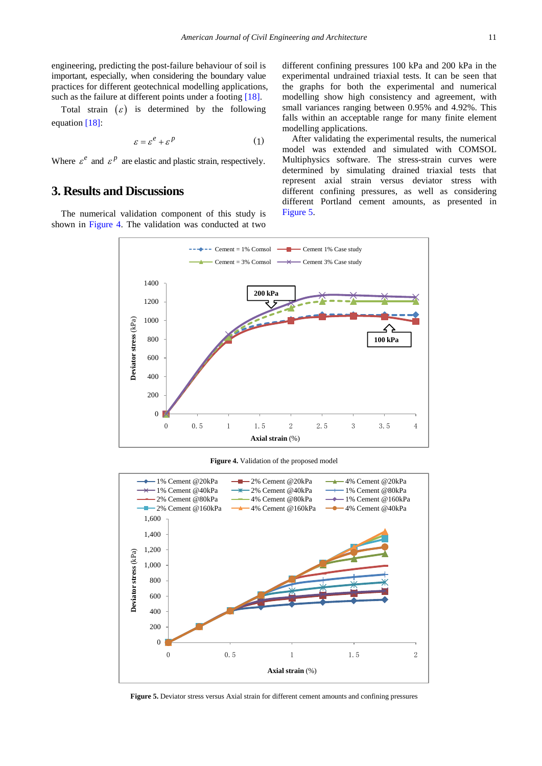engineering, predicting the post-failure behaviour of soil is important, especially, when considering the boundary value practices for different geotechnical modelling applications, such as the failure at different points under a footing [\[18\].](#page-7-10)

Total strain  $(\varepsilon)$  is determined by the following equatio[n \[18\]:](#page-7-10)

$$
\varepsilon = \varepsilon^e + \varepsilon^p \tag{1}
$$

Where  $\varepsilon^e$  and  $\varepsilon^p$  are elastic and plastic strain, respectively.

# **3. Results and Discussions**

<span id="page-3-0"></span>The numerical validation component of this study is shown in [Figure 4.](#page-3-0) The validation was conducted at two

different confining pressures 100 kPa and 200 kPa in the experimental undrained triaxial tests. It can be seen that the graphs for both the experimental and numerical modelling show high consistency and agreement, with small variances ranging between 0.95% and 4.92%. This falls within an acceptable range for many finite element modelling applications.

After validating the experimental results, the numerical model was extended and simulated with COMSOL Multiphysics software. The stress-strain curves were determined by simulating drained triaxial tests that represent axial strain versus deviator stress with different confining pressures, as well as considering different Portland cement amounts, as presented in [Figure 5.](#page-3-1)



**Figure 4.** Validation of the proposed model

<span id="page-3-1"></span>

**Figure 5.** Deviator stress versus Axial strain for different cement amounts and confining pressures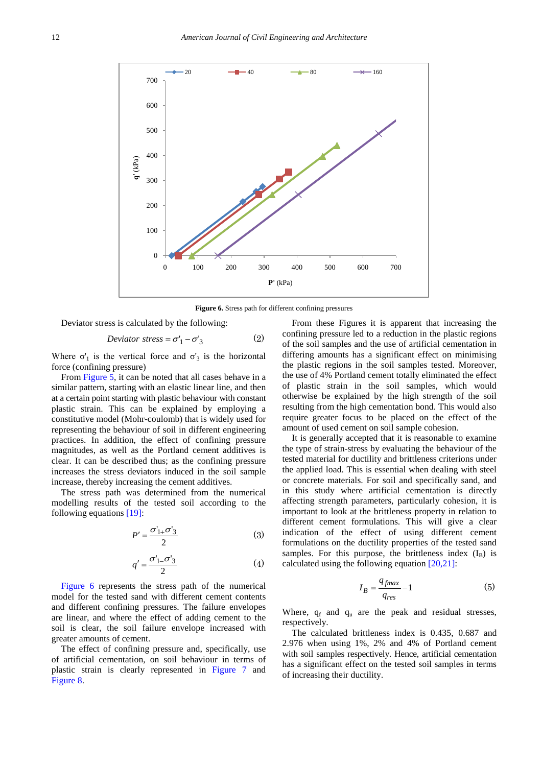<span id="page-4-0"></span>

**Figure 6.** Stress path for different confining pressures

Deviator stress is calculated by the following:

$$
Deviator stress = \sigma'_1 - \sigma'_3 \tag{2}
$$

Where  $\sigma_1$  is the vertical force and  $\sigma_3$  is the horizontal force (confining pressure)

From [Figure 5,](#page-3-1) it can be noted that all cases behave in a similar pattern, starting with an elastic linear line, and then at a certain point starting with plastic behaviour with constant plastic strain. This can be explained by employing a constitutive model (Mohr-coulomb) that is widely used for representing the behaviour of soil in different engineering practices. In addition, the effect of confining pressure magnitudes, as well as the Portland cement additives is clear. It can be described thus; as the confining pressure increases the stress deviators induced in the soil sample increase, thereby increasing the cement additives.

The stress path was determined from the numerical modelling results of the tested soil according to the following equations [\[19\]:](#page-7-11)

$$
P' = \frac{\sigma'_{1+}\sigma'_3}{2} \tag{3}
$$

$$
q' = \frac{\sigma'_{1-}\sigma'_{3}}{2} \tag{4}
$$

[Figure 6](#page-4-0) represents the stress path of the numerical model for the tested sand with different cement contents and different confining pressures. The failure envelopes are linear, and where the effect of adding cement to the soil is clear, the soil failure envelope increased with greater amounts of cement.

The effect of confining pressure and, specifically, use of artificial cementation, on soil behaviour in terms of plastic strain is clearly represented in [Figure 7](#page-5-0) and [Figure 8.](#page-6-0) 

From these Figures it is apparent that increasing the confining pressure led to a reduction in the plastic regions of the soil samples and the use of artificial cementation in differing amounts has a significant effect on minimising the plastic regions in the soil samples tested. Moreover, the use of 4% Portland cement totally eliminated the effect of plastic strain in the soil samples, which would otherwise be explained by the high strength of the soil resulting from the high cementation bond. This would also require greater focus to be placed on the effect of the amount of used cement on soil sample cohesion.

It is generally accepted that it is reasonable to examine the type of strain-stress by evaluating the behaviour of the tested material for ductility and brittleness criterions under the applied load. This is essential when dealing with steel or concrete materials. For soil and specifically sand, and in this study where artificial cementation is directly affecting strength parameters, particularly cohesion, it is important to look at the brittleness property in relation to different cement formulations. This will give a clear indication of the effect of using different cement formulations on the ductility properties of the tested sand samples. For this purpose, the brittleness index  $(I_B)$  is calculated using the following equation [\[20,21\]:](#page-7-12)

$$
I_B = \frac{q_{fmax}}{q_{res}} - 1\tag{5}
$$

Where,  $q_f$  and  $q_u$  are the peak and residual stresses, respectively.

The calculated brittleness index is 0.435, 0.687 and 2.976 when using 1%, 2% and 4% of Portland cement with soil samples respectively. Hence, artificial cementation has a significant effect on the tested soil samples in terms of increasing their ductility.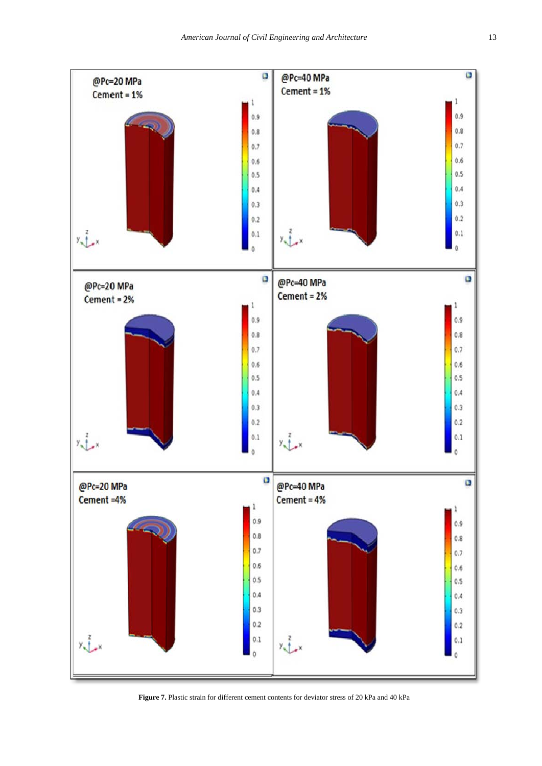<span id="page-5-0"></span>

**Figure 7.** Plastic strain for different cement contents for deviator stress of 20 kPa and 40 kPa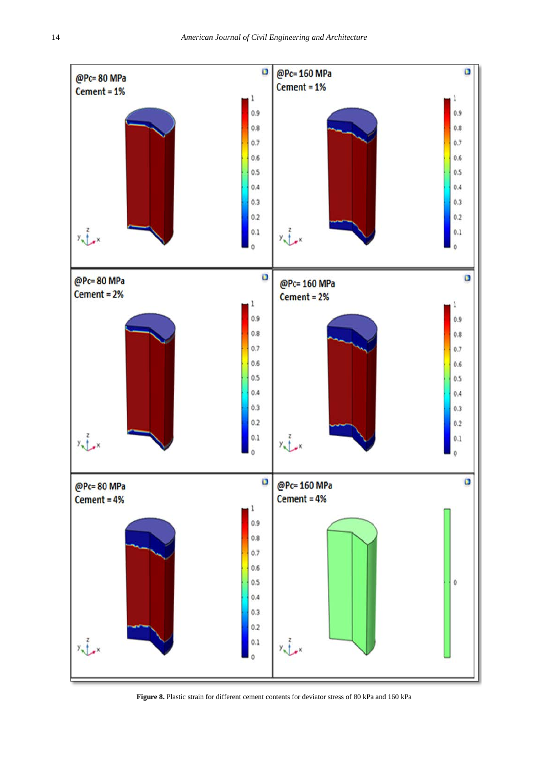<span id="page-6-0"></span>

**Figure 8.** Plastic strain for different cement contents for deviator stress of 80 kPa and 160 kPa